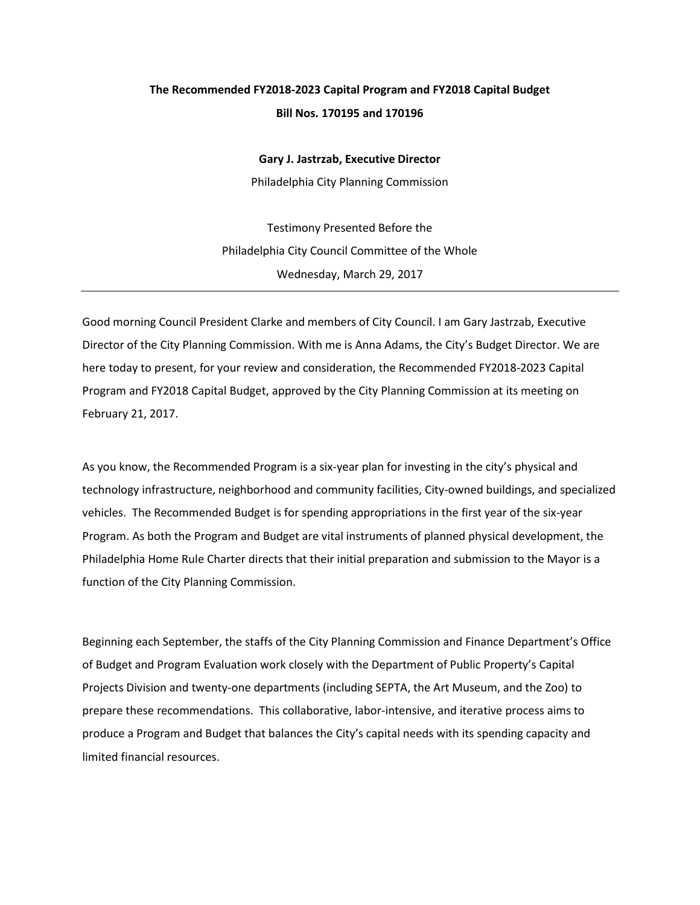## **The Recommended FY2018-2023 Capital Program and FY2018 Capital Budget Bill Nos. 170195 and 170196**

**Gary J. Jastrzab, Executive Director** 

Philadelphia City Planning Commission

Testimony Presented Before the Philadelphia City Council Committee of the Whole Wednesday, March 29, 2017

Good morning Council President Clarke and members of City Council. I am Gary Jastrzab, Executive Director of the City Planning Commission. With me is Anna Adams, the City's Budget Director. We are here today to present, for your review and consideration, the Recommended FY2018-2023 Capital Program and FY2018 Capital Budget, approved by the City Planning Commission at its meeting on February 21, 2017.

As you know, the Recommended Program is a six-year plan for investing in the city's physical and technology infrastructure, neighborhood and community facilities, City-owned buildings, and specialized vehicles. The Recommended Budget is for spending appropriations in the first year of the six-year Program. As both the Program and Budget are vital instruments of planned physical development, the Philadelphia Home Rule Charter directs that their initial preparation and submission to the Mayor is a function of the City Planning Commission.

Beginning each September, the staffs of the City Planning Commission and Finance Department's Office of Budget and Program Evaluation work closely with the Department of Public Property's Capital Projects Division and twenty-one departments (including SEPTA, the Art Museum, and the Zoo) to prepare these recommendations. This collaborative, labor-intensive, and iterative process aims to produce a Program and Budget that balances the City's capital needs with its spending capacity and limited financial resources.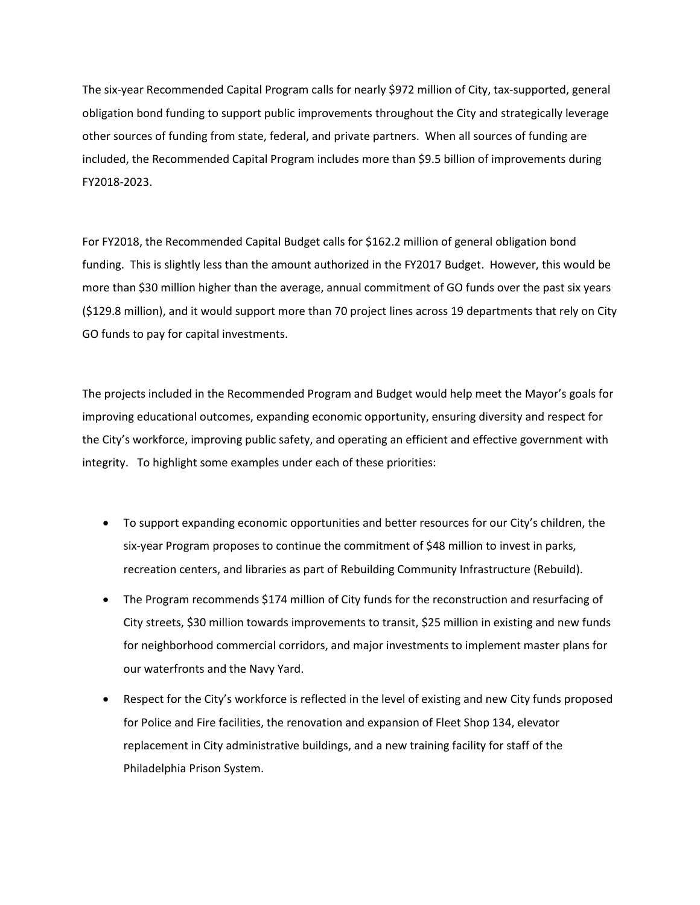The six-year Recommended Capital Program calls for nearly \$972 million of City, tax-supported, general obligation bond funding to support public improvements throughout the City and strategically leverage other sources of funding from state, federal, and private partners. When all sources of funding are included, the Recommended Capital Program includes more than \$9.5 billion of improvements during FY2018-2023.

For FY2018, the Recommended Capital Budget calls for \$162.2 million of general obligation bond funding. This is slightly less than the amount authorized in the FY2017 Budget. However, this would be more than \$30 million higher than the average, annual commitment of GO funds over the past six years (\$129.8 million), and it would support more than 70 project lines across 19 departments that rely on City GO funds to pay for capital investments.

The projects included in the Recommended Program and Budget would help meet the Mayor's goals for improving educational outcomes, expanding economic opportunity, ensuring diversity and respect for the City's workforce, improving public safety, and operating an efficient and effective government with integrity. To highlight some examples under each of these priorities:

- To support expanding economic opportunities and better resources for our City's children, the six-year Program proposes to continue the commitment of \$48 million to invest in parks, recreation centers, and libraries as part of Rebuilding Community Infrastructure (Rebuild).
- The Program recommends \$174 million of City funds for the reconstruction and resurfacing of City streets, \$30 million towards improvements to transit, \$25 million in existing and new funds for neighborhood commercial corridors, and major investments to implement master plans for our waterfronts and the Navy Yard.
- Respect for the City's workforce is reflected in the level of existing and new City funds proposed for Police and Fire facilities, the renovation and expansion of Fleet Shop 134, elevator replacement in City administrative buildings, and a new training facility for staff of the Philadelphia Prison System.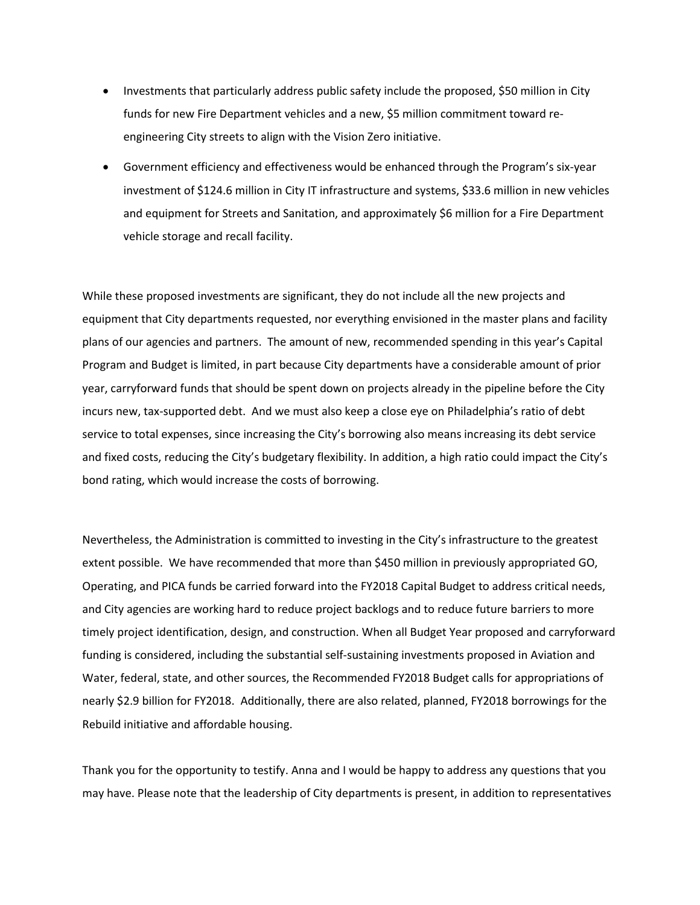- Investments that particularly address public safety include the proposed, \$50 million in City funds for new Fire Department vehicles and a new, \$5 million commitment toward reengineering City streets to align with the Vision Zero initiative.
- Government efficiency and effectiveness would be enhanced through the Program's six-year investment of \$124.6 million in City IT infrastructure and systems, \$33.6 million in new vehicles and equipment for Streets and Sanitation, and approximately \$6 million for a Fire Department vehicle storage and recall facility.

While these proposed investments are significant, they do not include all the new projects and equipment that City departments requested, nor everything envisioned in the master plans and facility plans of our agencies and partners. The amount of new, recommended spending in this year's Capital Program and Budget is limited, in part because City departments have a considerable amount of prior year, carryforward funds that should be spent down on projects already in the pipeline before the City incurs new, tax-supported debt. And we must also keep a close eye on Philadelphia's ratio of debt service to total expenses, since increasing the City's borrowing also means increasing its debt service and fixed costs, reducing the City's budgetary flexibility. In addition, a high ratio could impact the City's bond rating, which would increase the costs of borrowing.

Nevertheless, the Administration is committed to investing in the City's infrastructure to the greatest extent possible. We have recommended that more than \$450 million in previously appropriated GO, Operating, and PICA funds be carried forward into the FY2018 Capital Budget to address critical needs, and City agencies are working hard to reduce project backlogs and to reduce future barriers to more timely project identification, design, and construction. When all Budget Year proposed and carryforward funding is considered, including the substantial self-sustaining investments proposed in Aviation and Water, federal, state, and other sources, the Recommended FY2018 Budget calls for appropriations of nearly \$2.9 billion for FY2018. Additionally, there are also related, planned, FY2018 borrowings for the Rebuild initiative and affordable housing.

Thank you for the opportunity to testify. Anna and I would be happy to address any questions that you may have. Please note that the leadership of City departments is present, in addition to representatives